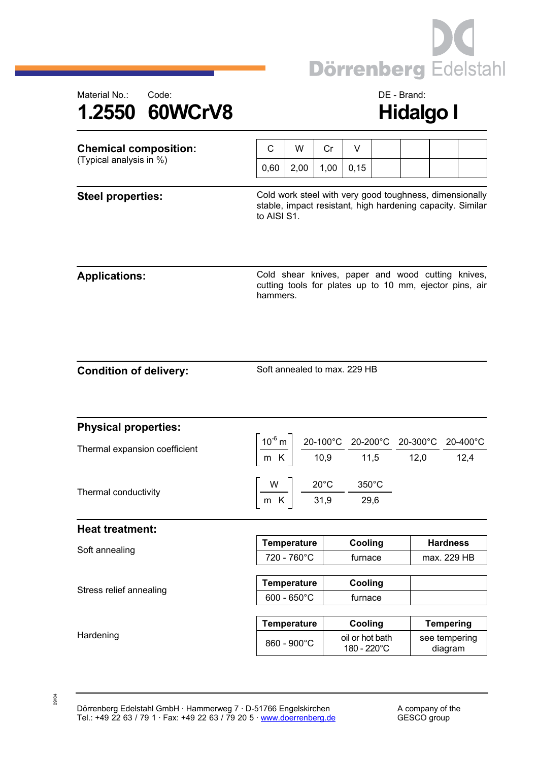



| <b>Chemical composition:</b><br>(Typical analysis in %) | C                                                                                                                                    | W                                                                                                                                                                                                             | Cr   | V                              |  |  |                          |  |  |
|---------------------------------------------------------|--------------------------------------------------------------------------------------------------------------------------------------|---------------------------------------------------------------------------------------------------------------------------------------------------------------------------------------------------------------|------|--------------------------------|--|--|--------------------------|--|--|
|                                                         | 0,60                                                                                                                                 | 2,00                                                                                                                                                                                                          | 1,00 | 0,15                           |  |  |                          |  |  |
| <b>Steel properties:</b>                                | Cold work steel with very good toughness, dimensionally<br>stable, impact resistant, high hardening capacity. Similar<br>to AISI S1. |                                                                                                                                                                                                               |      |                                |  |  |                          |  |  |
| <b>Applications:</b>                                    | Cold shear knives, paper and wood cutting knives,<br>cutting tools for plates up to 10 mm, ejector pins, air<br>hammers.             |                                                                                                                                                                                                               |      |                                |  |  |                          |  |  |
| <b>Condition of delivery:</b>                           | Soft annealed to max, 229 HB                                                                                                         |                                                                                                                                                                                                               |      |                                |  |  |                          |  |  |
| <b>Physical properties:</b>                             |                                                                                                                                      |                                                                                                                                                                                                               |      |                                |  |  |                          |  |  |
| Thermal expansion coefficient                           |                                                                                                                                      | $\left[\frac{10^{6} \text{ m}}{\text{m K}}\right] \frac{20-100^{\circ} \text{C}}{10,9} \frac{20-200^{\circ} \text{C}}{11,5} \frac{20-300^{\circ} \text{C}}{12,0} \frac{20-400^{\circ} \text{C}}{12,4}\right]$ |      |                                |  |  |                          |  |  |
| Thermal conductivity                                    | $\left[\frac{W}{m \text{ K}}\right] \frac{20^{\circ}\text{C}}{31,9} \frac{350^{\circ}\text{C}}{29,6}$                                |                                                                                                                                                                                                               |      |                                |  |  |                          |  |  |
| <b>Heat treatment:</b>                                  |                                                                                                                                      |                                                                                                                                                                                                               |      |                                |  |  |                          |  |  |
| Soft annealing                                          | <b>Temperature</b>                                                                                                                   |                                                                                                                                                                                                               |      | Cooling                        |  |  | <b>Hardness</b>          |  |  |
|                                                         | 720 - 760°C                                                                                                                          |                                                                                                                                                                                                               |      | furnace                        |  |  | max. 229 HB              |  |  |
| Stress relief annealing                                 | <b>Temperature</b>                                                                                                                   |                                                                                                                                                                                                               |      | Cooling                        |  |  |                          |  |  |
|                                                         | $600 - 650^{\circ}C$                                                                                                                 |                                                                                                                                                                                                               |      | furnace                        |  |  |                          |  |  |
|                                                         | <b>Temperature</b>                                                                                                                   |                                                                                                                                                                                                               |      | Cooling                        |  |  | <b>Tempering</b>         |  |  |
| Hardening                                               |                                                                                                                                      | 860 - 900°C                                                                                                                                                                                                   |      | oil or hot bath<br>180 - 220°C |  |  | see tempering<br>diagram |  |  |